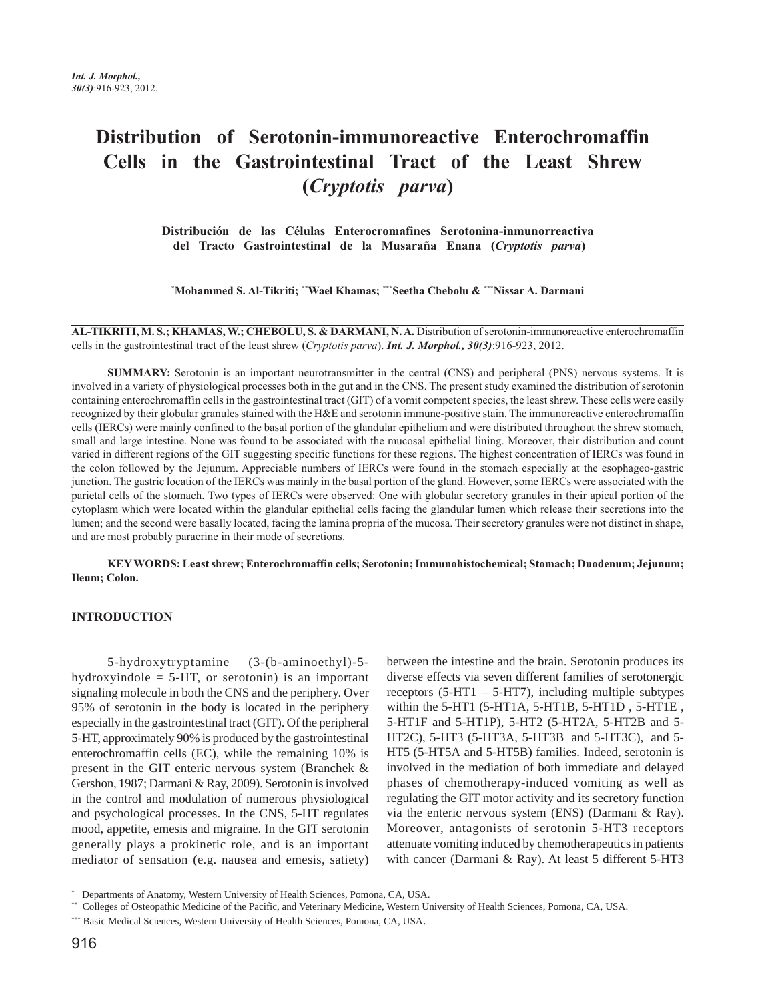# **Distribution of Serotonin-immunoreactive Enterochromaffin Cells in the Gastrointestinal Tract of the Least Shrew (***Cryptotis parva***)**

**Distribución de las Células Enterocromafines Serotonina-inmunorreactiva del Tracto Gastrointestinal de la Musaraña Enana (***Cryptotis parva***)**

**\* Mohammed S. Al-Tikriti; \*\*Wael Khamas; \*\*\*Seetha Chebolu & \*\*\*Nissar A. Darmani**

**AL-TIKRITI, M. S.; KHAMAS, W.; CHEBOLU, S. & DARMANI, N. A.** Distribution of serotonin-immunoreactive enterochromaffin cells in the gastrointestinal tract of the least shrew (*Cryptotis parva*). *Int. J. Morphol., 30(3)*:916-923, 2012.

**SUMMARY:** Serotonin is an important neurotransmitter in the central (CNS) and peripheral (PNS) nervous systems. It is involved in a variety of physiological processes both in the gut and in the CNS. The present study examined the distribution of serotonin containing enterochromaffin cells in the gastrointestinal tract (GIT) of a vomit competent species, the least shrew. These cells were easily recognized by their globular granules stained with the H&E and serotonin immune-positive stain. The immunoreactive enterochromaffin cells (IERCs) were mainly confined to the basal portion of the glandular epithelium and were distributed throughout the shrew stomach, small and large intestine. None was found to be associated with the mucosal epithelial lining. Moreover, their distribution and count varied in different regions of the GIT suggesting specific functions for these regions. The highest concentration of IERCs was found in the colon followed by the Jejunum. Appreciable numbers of IERCs were found in the stomach especially at the esophageo-gastric junction. The gastric location of the IERCs was mainly in the basal portion of the gland. However, some IERCs were associated with the parietal cells of the stomach. Two types of IERCs were observed: One with globular secretory granules in their apical portion of the cytoplasm which were located within the glandular epithelial cells facing the glandular lumen which release their secretions into the lumen; and the second were basally located, facing the lamina propria of the mucosa. Their secretory granules were not distinct in shape, and are most probably paracrine in their mode of secretions.

**KEY WORDS: Least shrew; Enterochromaffin cells; Serotonin; Immunohistochemical; Stomach; Duodenum; Jejunum; Ileum; Colon.**

#### **INTRODUCTION**

5-hydroxytryptamine (3-(b-aminoethyl)-5 hydroxyindole  $=$  5-HT, or serotonin) is an important signaling molecule in both the CNS and the periphery. Over 95% of serotonin in the body is located in the periphery especially in the gastrointestinal tract (GIT). Of the peripheral 5-HT, approximately 90% is produced by the gastrointestinal enterochromaffin cells (EC), while the remaining 10% is present in the GIT enteric nervous system (Branchek & Gershon, 1987; Darmani & Ray, 2009). Serotonin is involved in the control and modulation of numerous physiological and psychological processes. In the CNS, 5-HT regulates mood, appetite, emesis and migraine. In the GIT serotonin generally plays a prokinetic role, and is an important mediator of sensation (e.g. nausea and emesis, satiety)

between the intestine and the brain. Serotonin produces its diverse effects via seven different families of serotonergic receptors  $(5-HT1 - 5-HT7)$ , including multiple subtypes within the 5-HT1 (5-HT1A, 5-HT1B, 5-HT1D , 5-HT1E , 5-HT1F and 5-HT1P), 5-HT2 (5-HT2A, 5-HT2B and 5- HT2C), 5-HT3 (5-HT3A, 5-HT3B and 5-HT3C), and 5- HT5 (5-HT5A and 5-HT5B) families. Indeed, serotonin is involved in the mediation of both immediate and delayed phases of chemotherapy-induced vomiting as well as regulating the GIT motor activity and its secretory function via the enteric nervous system (ENS) (Darmani & Ray). Moreover, antagonists of serotonin 5-HT3 receptors attenuate vomiting induced by chemotherapeutics in patients with cancer (Darmani & Ray). At least 5 different 5-HT3

<sup>\*</sup> Departments of Anatomy, Western University of Health Sciences, Pomona, CA, USA.

<sup>\*\*</sup> Colleges of Osteopathic Medicine of the Pacific, and Veterinary Medicine, Western University of Health Sciences, Pomona, CA, USA.

<sup>\*\*\*</sup> Basic Medical Sciences, Western University of Health Sciences, Pomona, CA, USA.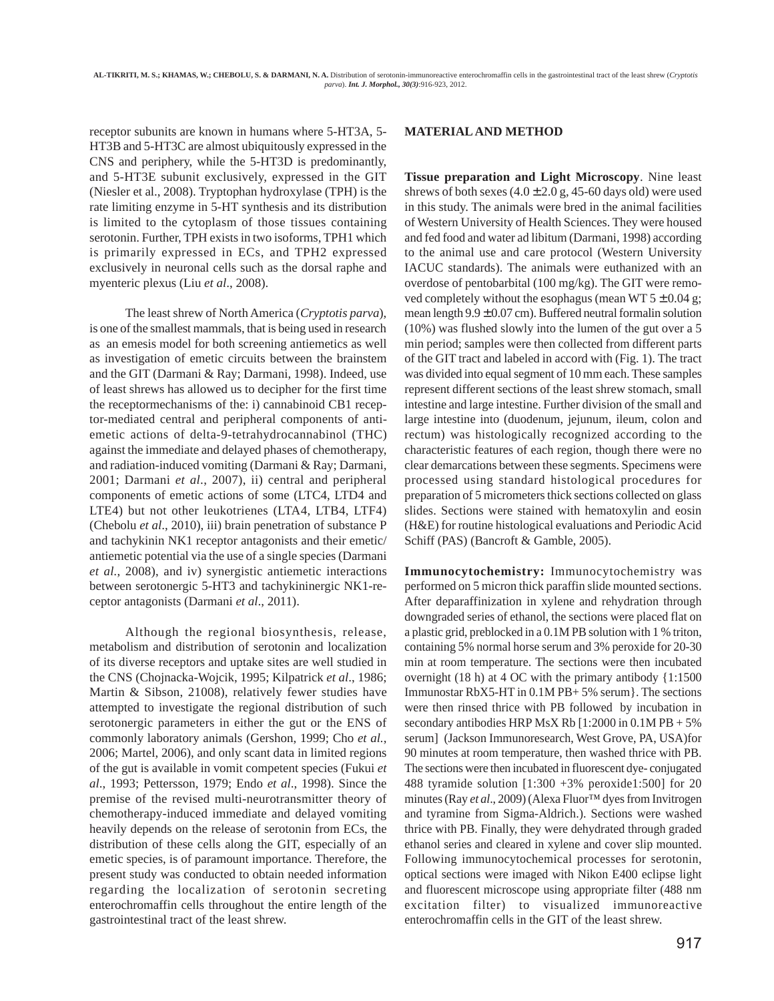receptor subunits are known in humans where 5-HT3A, 5- HT3B and 5-HT3C are almost ubiquitously expressed in the CNS and periphery, while the 5-HT3D is predominantly, and 5-HT3E subunit exclusively, expressed in the GIT (Niesler et al., 2008). Tryptophan hydroxylase (TPH) is the rate limiting enzyme in 5-HT synthesis and its distribution is limited to the cytoplasm of those tissues containing serotonin. Further, TPH exists in two isoforms, TPH1 which is primarily expressed in ECs, and TPH2 expressed exclusively in neuronal cells such as the dorsal raphe and myenteric plexus (Liu *et al*., 2008).

The least shrew of North America (*Cryptotis parva*), is one of the smallest mammals, that is being used in research as an emesis model for both screening antiemetics as well as investigation of emetic circuits between the brainstem and the GIT (Darmani & Ray; Darmani, 1998). Indeed, use of least shrews has allowed us to decipher for the first time the receptormechanisms of the: i) cannabinoid CB1 receptor-mediated central and peripheral components of antiemetic actions of delta-9-tetrahydrocannabinol (THC) against the immediate and delayed phases of chemotherapy, and radiation-induced vomiting (Darmani & Ray; Darmani, 2001; Darmani *et al*., 2007), ii) central and peripheral components of emetic actions of some (LTC4, LTD4 and LTE4) but not other leukotrienes (LTA4, LTB4, LTF4) (Chebolu *et al*., 2010), iii) brain penetration of substance P and tachykinin NK1 receptor antagonists and their emetic/ antiemetic potential via the use of a single species (Darmani *et al.*, 2008), and iv) synergistic antiemetic interactions between serotonergic 5-HT3 and tachykininergic NK1-receptor antagonists (Darmani *et al*., 2011).

Although the regional biosynthesis, release, metabolism and distribution of serotonin and localization of its diverse receptors and uptake sites are well studied in the CNS (Chojnacka-Wojcik, 1995; Kilpatrick *et al*., 1986; Martin & Sibson, 21008), relatively fewer studies have attempted to investigate the regional distribution of such serotonergic parameters in either the gut or the ENS of commonly laboratory animals (Gershon, 1999; Cho *et al.*, 2006; Martel, 2006), and only scant data in limited regions of the gut is available in vomit competent species (Fukui *et al*., 1993; Pettersson, 1979; Endo *et al*., 1998). Since the premise of the revised multi-neurotransmitter theory of chemotherapy-induced immediate and delayed vomiting heavily depends on the release of serotonin from ECs, the distribution of these cells along the GIT, especially of an emetic species, is of paramount importance. Therefore, the present study was conducted to obtain needed information regarding the localization of serotonin secreting enterochromaffin cells throughout the entire length of the gastrointestinal tract of the least shrew.

#### **MATERIAL AND METHOD**

**Tissue preparation and Light Microscopy**. Nine least shrews of both sexes  $(4.0 \pm 2.0 \text{ g}, 45 \text{--} 60 \text{ days old})$  were used in this study. The animals were bred in the animal facilities of Western University of Health Sciences. They were housed and fed food and water ad libitum (Darmani, 1998) according to the animal use and care protocol (Western University IACUC standards). The animals were euthanized with an overdose of pentobarbital (100 mg/kg). The GIT were removed completely without the esophagus (mean WT  $5 \pm 0.04$  g; mean length  $9.9 \pm 0.07$  cm). Buffered neutral formalin solution (10%) was flushed slowly into the lumen of the gut over a 5 min period; samples were then collected from different parts of the GIT tract and labeled in accord with (Fig. 1). The tract was divided into equal segment of 10 mm each. These samples represent different sections of the least shrew stomach, small intestine and large intestine. Further division of the small and large intestine into (duodenum, jejunum, ileum, colon and rectum) was histologically recognized according to the characteristic features of each region, though there were no clear demarcations between these segments. Specimens were processed using standard histological procedures for preparation of 5 micrometers thick sections collected on glass slides. Sections were stained with hematoxylin and eosin (H&E) for routine histological evaluations and Periodic Acid Schiff (PAS) (Bancroft & Gamble, 2005).

**Immunocytochemistry:** Immunocytochemistry was performed on 5 micron thick paraffin slide mounted sections. After deparaffinization in xylene and rehydration through downgraded series of ethanol, the sections were placed flat on a plastic grid, preblocked in a 0.1M PB solution with 1 % triton, containing 5% normal horse serum and 3% peroxide for 20-30 min at room temperature. The sections were then incubated overnight (18 h) at 4 OC with the primary antibody {1:1500 Immunostar RbX5-HT in 0.1M PB+ 5% serum}. The sections were then rinsed thrice with PB followed by incubation in secondary antibodies HRP MsX Rb [1:2000 in 0.1M PB + 5% serum] (Jackson Immunoresearch, West Grove, PA, USA)for 90 minutes at room temperature, then washed thrice with PB. The sections were then incubated in fluorescent dye- conjugated 488 tyramide solution [1:300 +3% peroxide1:500] for 20 minutes (Ray *et al*., 2009) (Alexa Fluor™ dyes from Invitrogen and tyramine from Sigma-Aldrich.). Sections were washed thrice with PB. Finally, they were dehydrated through graded ethanol series and cleared in xylene and cover slip mounted. Following immunocytochemical processes for serotonin, optical sections were imaged with Nikon E400 eclipse light and fluorescent microscope using appropriate filter (488 nm excitation filter) to visualized immunoreactive enterochromaffin cells in the GIT of the least shrew.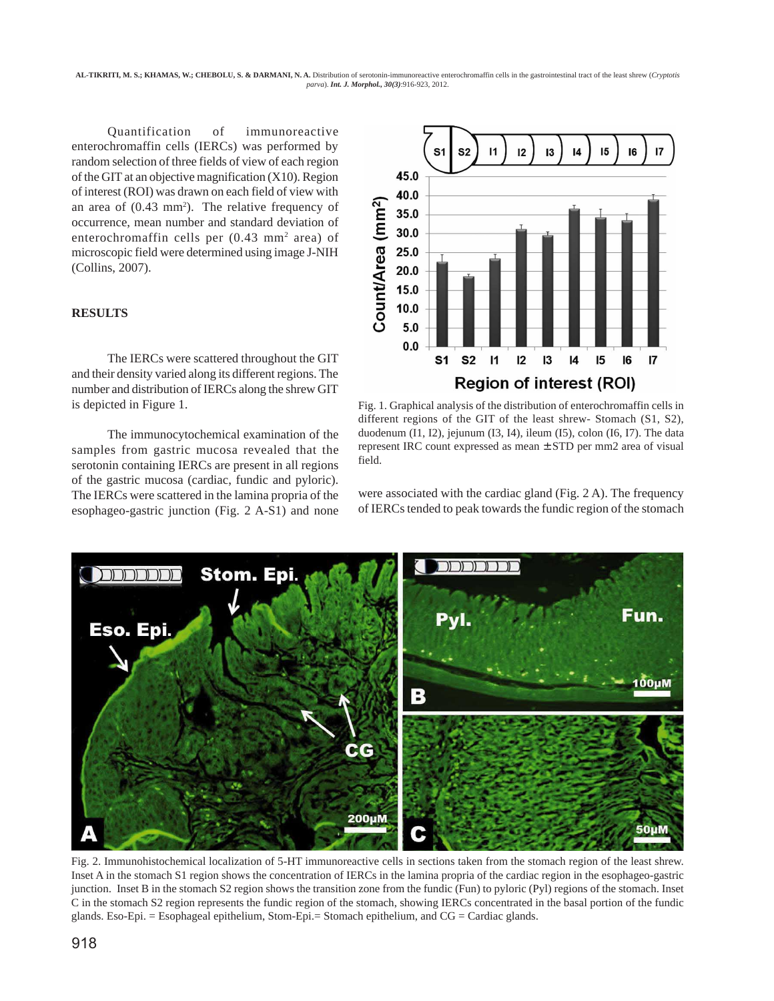**AL-TIKRITI, M. S.; KHAMAS, W.; CHEBOLU, S. & DARMANI, N. A.** Distribution of serotonin-immunoreactive enterochromaffin cells in the gastrointestinal tract of the least shrew (*Cryptotis parva*). *Int. J. Morphol., 30(3)*:916-923, 2012.

Quantification of immunoreactive enterochromaffin cells (IERCs) was performed by random selection of three fields of view of each region of the GIT at an objective magnification (X10). Region of interest (ROI) was drawn on each field of view with an area of  $(0.43 \text{ mm}^2)$ . The relative frequency of occurrence, mean number and standard deviation of enterochromaffin cells per (0.43 mm<sup>2</sup> area) of microscopic field were determined using image J-NIH (Collins, 2007).

## **RESULTS**

The IERCs were scattered throughout the GIT and their density varied along its different regions. The number and distribution of IERCs along the shrew GIT is depicted in Figure 1.

The immunocytochemical examination of the samples from gastric mucosa revealed that the serotonin containing IERCs are present in all regions of the gastric mucosa (cardiac, fundic and pyloric). The IERCs were scattered in the lamina propria of the esophageo-gastric junction (Fig. 2 A-S1) and none



Fig. 1. Graphical analysis of the distribution of enterochromaffin cells in different regions of the GIT of the least shrew- Stomach (S1, S2), duodenum (I1, I2), jejunum (I3, I4), ileum (I5), colon (I6, I7). The data represent IRC count expressed as mean ± STD per mm2 area of visual field.

were associated with the cardiac gland (Fig. 2 A). The frequency of IERCs tended to peak towards the fundic region of the stomach



Fig. 2. Immunohistochemical localization of 5-HT immunoreactive cells in sections taken from the stomach region of the least shrew. Inset A in the stomach S1 region shows the concentration of IERCs in the lamina propria of the cardiac region in the esophageo-gastric junction. Inset B in the stomach S2 region shows the transition zone from the fundic (Fun) to pyloric (Pyl) regions of the stomach. Inset C in the stomach S2 region represents the fundic region of the stomach, showing IERCs concentrated in the basal portion of the fundic glands. Eso-Epi. = Esophageal epithelium, Stom-Epi.= Stomach epithelium, and CG = Cardiac glands.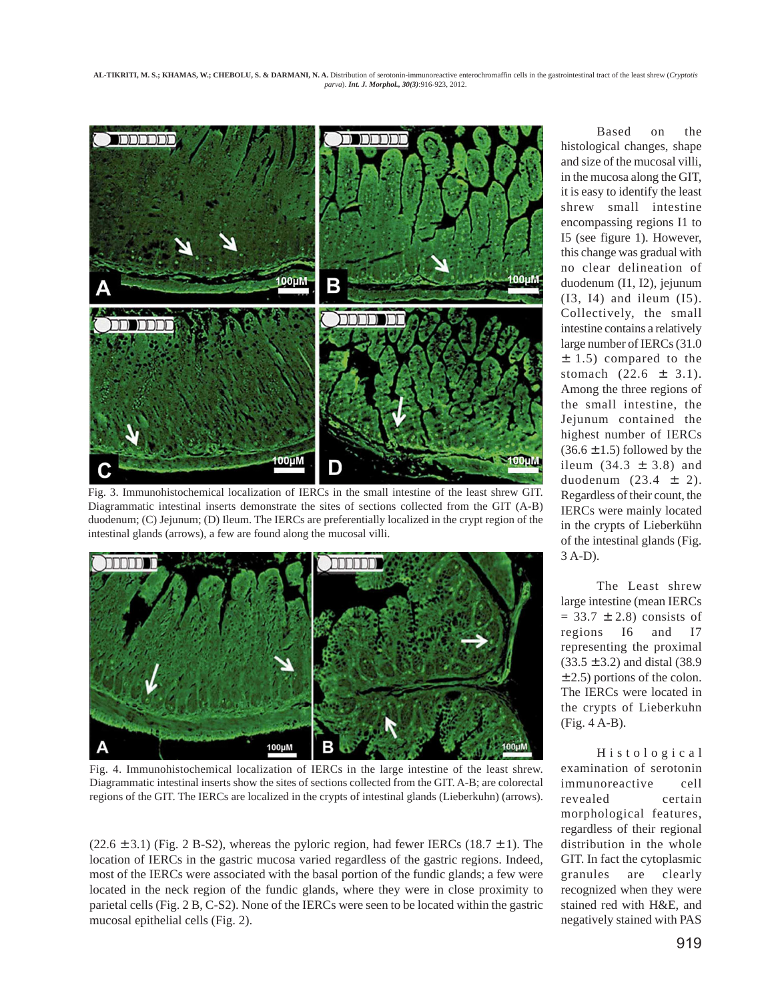**AL-TIKRITI, M. S.; KHAMAS, W.; CHEBOLU, S. & DARMANI, N. A.** Distribution of serotonin-immunoreactive enterochromaffin cells in the gastrointestinal tract of the least shrew (*Cryptotis parva*). *Int. J. Morphol., 30(3)*:916-923, 2012.



Fig. 3. Immunohistochemical localization of IERCs in the small intestine of the least shrew GIT. Diagrammatic intestinal inserts demonstrate the sites of sections collected from the GIT (A-B) duodenum; (C) Jejunum; (D) Ileum. The IERCs are preferentially localized in the crypt region of the intestinal glands (arrows), a few are found along the mucosal villi.



Fig. 4. Immunohistochemical localization of IERCs in the large intestine of the least shrew. Diagrammatic intestinal inserts show the sites of sections collected from the GIT. A-B; are colorectal regions of the GIT. The IERCs are localized in the crypts of intestinal glands (Lieberkuhn) (arrows).

 $(22.6 \pm 3.1)$  (Fig. 2 B-S2), whereas the pyloric region, had fewer IERCs (18.7  $\pm$  1). The location of IERCs in the gastric mucosa varied regardless of the gastric regions. Indeed, most of the IERCs were associated with the basal portion of the fundic glands; a few were located in the neck region of the fundic glands, where they were in close proximity to parietal cells (Fig. 2 B, C-S2). None of the IERCs were seen to be located within the gastric mucosal epithelial cells (Fig. 2).

Based on the histological changes, shape and size of the mucosal villi, in the mucosa along the GIT, it is easy to identify the least shrew small intestine encompassing regions I1 to I5 (see figure 1). However, this change was gradual with no clear delineation of duodenum (I1, I2), jejunum (I3, I4) and ileum (I5). Collectively, the small intestine contains a relatively large number of IERCs (31.0 ± 1.5) compared to the stomach  $(22.6 \pm 3.1)$ . Among the three regions of the small intestine, the Jejunum contained the highest number of IERCs  $(36.6 \pm 1.5)$  followed by the ileum  $(34.3 \pm 3.8)$  and duodenum  $(23.4 \pm 2)$ . Regardless of their count, the IERCs were mainly located in the crypts of Lieberkühn of the intestinal glands (Fig. 3 A-D).

The Least shrew large intestine (mean IERCs  $=$  33.7  $\pm$  2.8) consists of regions I6 and I7 representing the proximal  $(33.5 \pm 3.2)$  and distal  $(38.9)$  $\pm$  2.5) portions of the colon. The IERCs were located in the crypts of Lieberkuhn (Fig. 4 A-B).

Histological examination of serotonin immunoreactive cell revealed certain morphological features, regardless of their regional distribution in the whole GIT. In fact the cytoplasmic granules are clearly recognized when they were stained red with H&E, and negatively stained with PAS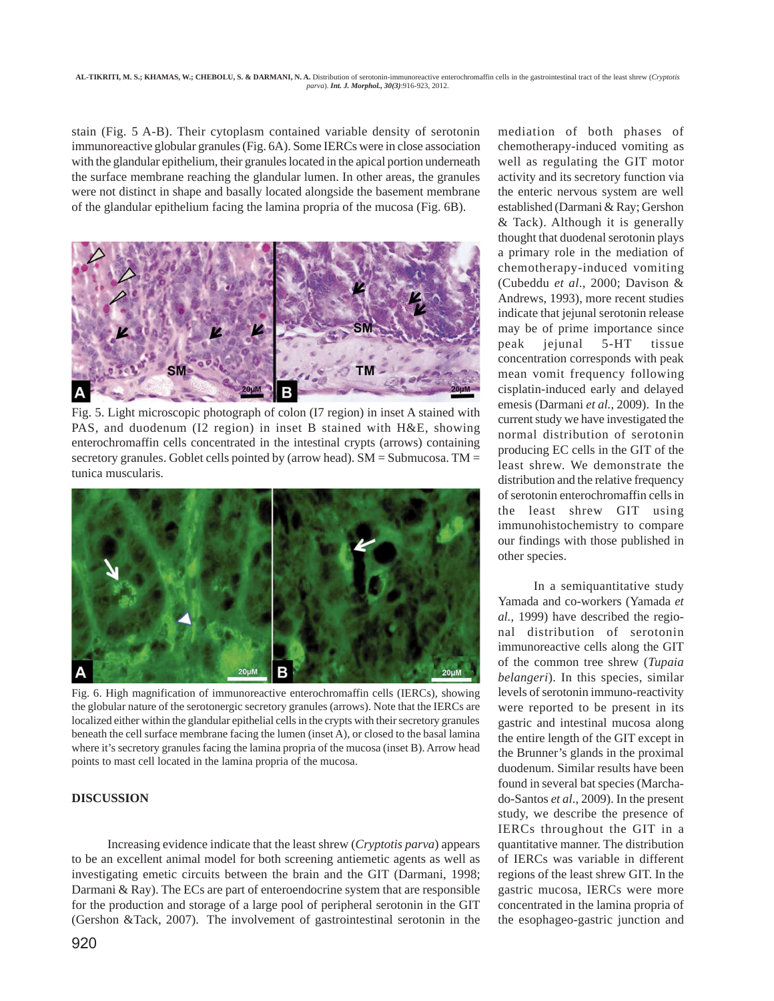stain (Fig. 5 A-B). Their cytoplasm contained variable density of serotonin immunoreactive globular granules (Fig. 6A). Some IERCs were in close association with the glandular epithelium, their granules located in the apical portion underneath the surface membrane reaching the glandular lumen. In other areas, the granules were not distinct in shape and basally located alongside the basement membrane of the glandular epithelium facing the lamina propria of the mucosa (Fig. 6B).



Fig. 5. Light microscopic photograph of colon (I7 region) in inset A stained with PAS, and duodenum (I2 region) in inset B stained with H&E, showing enterochromaffin cells concentrated in the intestinal crypts (arrows) containing secretory granules. Goblet cells pointed by (arrow head). SM = Submucosa. TM = tunica muscularis.



Fig. 6. High magnification of immunoreactive enterochromaffin cells (IERCs), showing the globular nature of the serotonergic secretory granules (arrows). Note that the IERCs are localized either within the glandular epithelial cells in the crypts with their secretory granules beneath the cell surface membrane facing the lumen (inset A), or closed to the basal lamina where it's secretory granules facing the lamina propria of the mucosa (inset B). Arrow head points to mast cell located in the lamina propria of the mucosa.

## **DISCUSSION**

Increasing evidence indicate that the least shrew (*Cryptotis parva*) appears to be an excellent animal model for both screening antiemetic agents as well as investigating emetic circuits between the brain and the GIT (Darmani, 1998; Darmani & Ray). The ECs are part of enteroendocrine system that are responsible for the production and storage of a large pool of peripheral serotonin in the GIT (Gershon &Tack, 2007). The involvement of gastrointestinal serotonin in the

mediation of both phases of chemotherapy-induced vomiting as well as regulating the GIT motor activity and its secretory function via the enteric nervous system are well established (Darmani & Ray; Gershon & Tack). Although it is generally thought that duodenal serotonin plays a primary role in the mediation of chemotherapy-induced vomiting (Cubeddu *et al*., 2000; Davison & Andrews, 1993), more recent studies indicate that jejunal serotonin release may be of prime importance since peak jejunal 5-HT tissue concentration corresponds with peak mean vomit frequency following cisplatin-induced early and delayed emesis (Darmani *et al.*, 2009). In the current study we have investigated the normal distribution of serotonin producing EC cells in the GIT of the least shrew. We demonstrate the distribution and the relative frequency of serotonin enterochromaffin cells in the least shrew GIT using immunohistochemistry to compare our findings with those published in other species.

In a semiquantitative study Yamada and co-workers (Yamada *et al.,* 1999) have described the regional distribution of serotonin immunoreactive cells along the GIT of the common tree shrew (*Tupaia belangeri*). In this species, similar levels of serotonin immuno-reactivity were reported to be present in its gastric and intestinal mucosa along the entire length of the GIT except in the Brunner's glands in the proximal duodenum. Similar results have been found in several bat species (Marchado-Santos *et al*., 2009). In the present study, we describe the presence of IERCs throughout the GIT in a quantitative manner. The distribution of IERCs was variable in different regions of the least shrew GIT. In the gastric mucosa, IERCs were more concentrated in the lamina propria of the esophageo-gastric junction and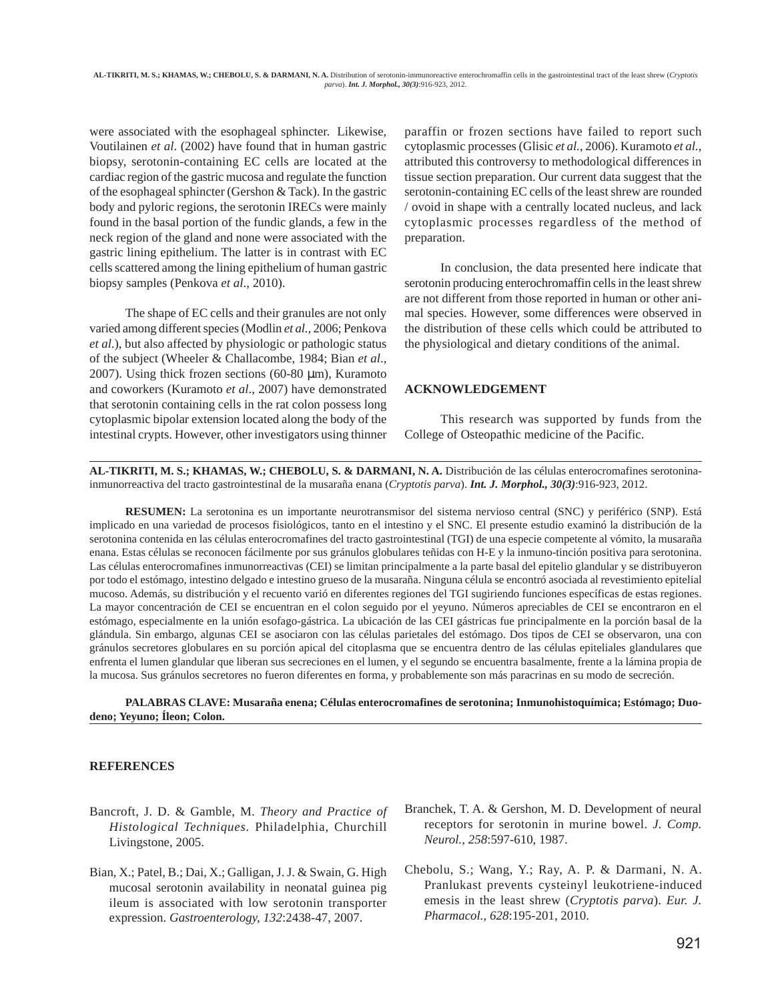were associated with the esophageal sphincter. Likewise, Voutilainen *et al*. (2002) have found that in human gastric biopsy, serotonin-containing EC cells are located at the cardiac region of the gastric mucosa and regulate the function of the esophageal sphincter (Gershon & Tack). In the gastric body and pyloric regions, the serotonin IRECs were mainly found in the basal portion of the fundic glands, a few in the neck region of the gland and none were associated with the gastric lining epithelium. The latter is in contrast with EC cells scattered among the lining epithelium of human gastric biopsy samples (Penkova *et al*., 2010).

The shape of EC cells and their granules are not only varied among different species (Modlin *et al.,* 2006; Penkova *et al*.), but also affected by physiologic or pathologic status of the subject (Wheeler & Challacombe, 1984; Bian *et al*., 2007). Using thick frozen sections (60-80 µm), Kuramoto and coworkers (Kuramoto *et al*., 2007) have demonstrated that serotonin containing cells in the rat colon possess long cytoplasmic bipolar extension located along the body of the intestinal crypts. However, other investigators using thinner paraffin or frozen sections have failed to report such cytoplasmic processes (Glisic *et al.*, 2006). Kuramoto *et al.*, attributed this controversy to methodological differences in tissue section preparation. Our current data suggest that the serotonin-containing EC cells of the least shrew are rounded / ovoid in shape with a centrally located nucleus, and lack cytoplasmic processes regardless of the method of preparation.

In conclusion, the data presented here indicate that serotonin producing enterochromaffin cells in the least shrew are not different from those reported in human or other animal species. However, some differences were observed in the distribution of these cells which could be attributed to the physiological and dietary conditions of the animal.

# **ACKNOWLEDGEMENT**

This research was supported by funds from the College of Osteopathic medicine of the Pacific.

**AL-TIKRITI, M. S.; KHAMAS, W.; CHEBOLU, S. & DARMANI, N. A.** Distribución de las células enterocromafines serotoninainmunorreactiva del tracto gastrointestinal de la musaraña enana (*Cryptotis parva*). *Int. J. Morphol., 30(3)*:916-923, 2012.

**RESUMEN:** La serotonina es un importante neurotransmisor del sistema nervioso central (SNC) y periférico (SNP). Está implicado en una variedad de procesos fisiológicos, tanto en el intestino y el SNC. El presente estudio examinó la distribución de la serotonina contenida en las células enterocromafines del tracto gastrointestinal (TGI) de una especie competente al vómito, la musaraña enana. Estas células se reconocen fácilmente por sus gránulos globulares teñidas con H-E y la inmuno-tinción positiva para serotonina. Las células enterocromafines inmunorreactivas (CEI) se limitan principalmente a la parte basal del epitelio glandular y se distribuyeron por todo el estómago, intestino delgado e intestino grueso de la musaraña. Ninguna célula se encontró asociada al revestimiento epitelial mucoso. Además, su distribución y el recuento varió en diferentes regiones del TGI sugiriendo funciones específicas de estas regiones. La mayor concentración de CEI se encuentran en el colon seguido por el yeyuno. Números apreciables de CEI se encontraron en el estómago, especialmente en la unión esofago-gástrica. La ubicación de las CEI gástricas fue principalmente en la porción basal de la glándula. Sin embargo, algunas CEI se asociaron con las células parietales del estómago. Dos tipos de CEI se observaron, una con gránulos secretores globulares en su porción apical del citoplasma que se encuentra dentro de las células epiteliales glandulares que enfrenta el lumen glandular que liberan sus secreciones en el lumen, y el segundo se encuentra basalmente, frente a la lámina propia de la mucosa. Sus gránulos secretores no fueron diferentes en forma, y probablemente son más paracrinas en su modo de secreción.

### **PALABRAS CLAVE: Musaraña enena; Células enterocromafines de serotonina; Inmunohistoquímica; Estómago; Duodeno; Yeyuno; Íleon; Colon.**

## **REFERENCES**

- Bancroft, J. D. & Gamble, M. *Theory and Practice of Histological Techniques.* Philadelphia, Churchill Livingstone, 2005.
- Bian, X.; Patel, B.; Dai, X.; Galligan, J. J. & Swain, G. High mucosal serotonin availability in neonatal guinea pig ileum is associated with low serotonin transporter expression. *Gastroenterology, 132*:2438-47, 2007.
- Branchek, T. A. & Gershon, M. D. Development of neural receptors for serotonin in murine bowel. *J. Comp. Neurol., 258*:597-610, 1987.
- Chebolu, S.; Wang, Y.; Ray, A. P. & Darmani, N. A. Pranlukast prevents cysteinyl leukotriene-induced emesis in the least shrew (*Cryptotis parva*). *Eur. J. Pharmacol., 628*:195-201, 2010.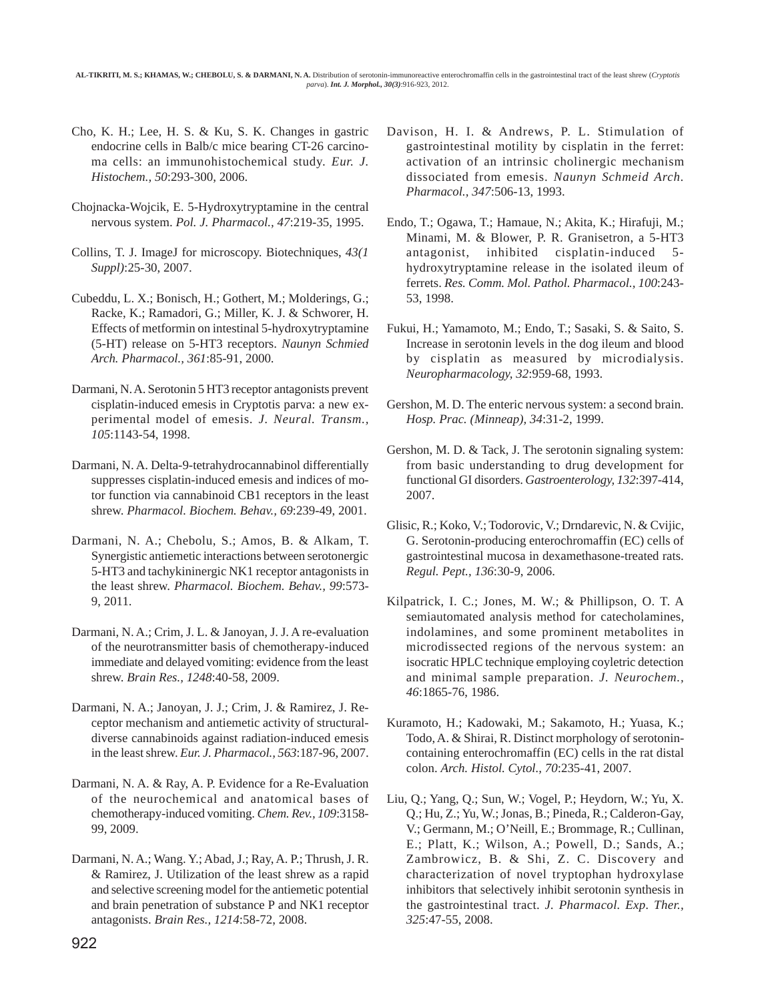- Cho, K. H.; Lee, H. S. & Ku, S. K. Changes in gastric endocrine cells in Balb/c mice bearing CT-26 carcinoma cells: an immunohistochemical study. *Eur. J. Histochem., 50*:293-300, 2006.
- Chojnacka-Wojcik, E. 5-Hydroxytryptamine in the central nervous system. *Pol. J. Pharmacol., 47*:219-35, 1995.
- Collins, T. J. ImageJ for microscopy. Biotechniques, *43(1 Suppl)*:25-30, 2007.
- Cubeddu, L. X.; Bonisch, H.; Gothert, M.; Molderings, G.; Racke, K.; Ramadori, G.; Miller, K. J. & Schworer, H. Effects of metformin on intestinal 5-hydroxytryptamine (5-HT) release on 5-HT3 receptors. *Naunyn Schmied Arch. Pharmacol., 361*:85-91, 2000.
- Darmani, N. A. Serotonin 5 HT3 receptor antagonists prevent cisplatin-induced emesis in Cryptotis parva: a new experimental model of emesis. *J. Neural. Transm., 105*:1143-54, 1998.
- Darmani, N. A. Delta-9-tetrahydrocannabinol differentially suppresses cisplatin-induced emesis and indices of motor function via cannabinoid CB1 receptors in the least shrew. *Pharmacol. Biochem. Behav., 69*:239-49, 2001.
- Darmani, N. A.; Chebolu, S.; Amos, B. & Alkam, T. Synergistic antiemetic interactions between serotonergic 5-HT3 and tachykininergic NK1 receptor antagonists in the least shrew. *Pharmacol. Biochem. Behav., 99*:573- 9, 2011.
- Darmani, N. A.; Crim, J. L. & Janoyan, J. J. A re-evaluation of the neurotransmitter basis of chemotherapy-induced immediate and delayed vomiting: evidence from the least shrew. *Brain Res., 1248*:40-58, 2009.
- Darmani, N. A.; Janoyan, J. J.; Crim, J. & Ramirez, J. Receptor mechanism and antiemetic activity of structuraldiverse cannabinoids against radiation-induced emesis in the least shrew. *Eur. J. Pharmacol., 563*:187-96, 2007.
- Darmani, N. A. & Ray, A. P. Evidence for a Re-Evaluation of the neurochemical and anatomical bases of chemotherapy-induced vomiting. *Chem. Rev., 109*:3158- 99, 2009.
- Darmani, N. A.; Wang. Y.; Abad, J.; Ray, A. P.; Thrush, J. R. & Ramirez, J. Utilization of the least shrew as a rapid and selective screening model for the antiemetic potential and brain penetration of substance P and NK1 receptor antagonists. *Brain Res., 1214*:58-72, 2008.
- Davison, H. I. & Andrews, P. L. Stimulation of gastrointestinal motility by cisplatin in the ferret: activation of an intrinsic cholinergic mechanism dissociated from emesis. *Naunyn Schmeid Arch. Pharmacol., 347*:506-13, 1993.
- Endo, T.; Ogawa, T.; Hamaue, N.; Akita, K.; Hirafuji, M.; Minami, M. & Blower, P. R. Granisetron, a 5-HT3 antagonist, inhibited cisplatin-induced 5 hydroxytryptamine release in the isolated ileum of ferrets. *Res. Comm. Mol. Pathol. Pharmacol., 100*:243- 53, 1998.
- Fukui, H.; Yamamoto, M.; Endo, T.; Sasaki, S. & Saito, S. Increase in serotonin levels in the dog ileum and blood by cisplatin as measured by microdialysis. *Neuropharmacology, 32*:959-68, 1993.
- Gershon, M. D. The enteric nervous system: a second brain. *Hosp. Prac. (Minneap), 34*:31-2, 1999.
- Gershon, M. D. & Tack, J. The serotonin signaling system: from basic understanding to drug development for functional GI disorders. *Gastroenterology, 132*:397-414, 2007.
- Glisic, R.; Koko, V.; Todorovic, V.; Drndarevic, N. & Cvijic, G. Serotonin-producing enterochromaffin (EC) cells of gastrointestinal mucosa in dexamethasone-treated rats. *Regul. Pept., 136*:30-9, 2006.
- Kilpatrick, I. C.; Jones, M. W.; & Phillipson, O. T. A semiautomated analysis method for catecholamines, indolamines, and some prominent metabolites in microdissected regions of the nervous system: an isocratic HPLC technique employing coyletric detection and minimal sample preparation. *J. Neurochem., 46*:1865-76, 1986.
- Kuramoto, H.; Kadowaki, M.; Sakamoto, H.; Yuasa, K.; Todo, A. & Shirai, R. Distinct morphology of serotonincontaining enterochromaffin (EC) cells in the rat distal colon. *Arch. Histol. Cytol., 70*:235-41, 2007.
- Liu, Q.; Yang, Q.; Sun, W.; Vogel, P.; Heydorn, W.; Yu, X. Q.; Hu, Z.; Yu, W.; Jonas, B.; Pineda, R.; Calderon-Gay, V.; Germann, M.; O'Neill, E.; Brommage, R.; Cullinan, E.; Platt, K.; Wilson, A.; Powell, D.; Sands, A.; Zambrowicz, B. & Shi, Z. C. Discovery and characterization of novel tryptophan hydroxylase inhibitors that selectively inhibit serotonin synthesis in the gastrointestinal tract. *J. Pharmacol. Exp. Ther., 325*:47-55, 2008.